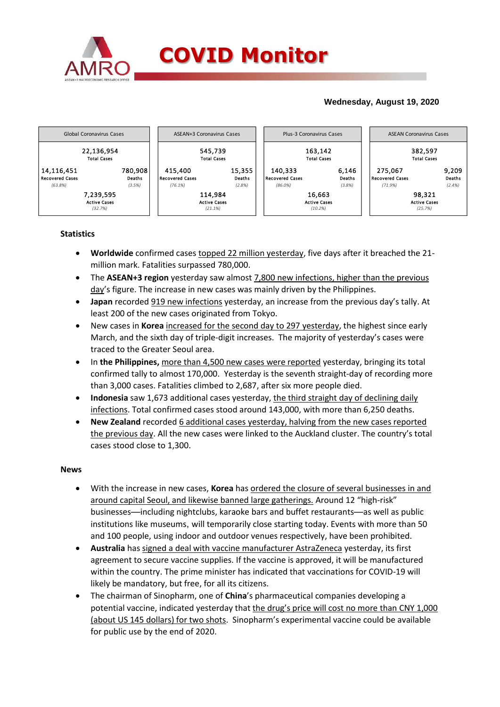

## **Wednesday, August 19, 2020**



## **Statistics**

- **Worldwide** confirmed cases topped 22 million yesterday, five days after it breached the 21 million mark. Fatalities surpassed 780,000.
- The **ASEAN+3 region** yesterday saw almost 7,800 new infections, higher than the previous day's figure. The increase in new cases was mainly driven by the Philippines.
- **Japan** recorded 919 new infections yesterday, an increase from the previous day's tally. At least 200 of the new cases originated from Tokyo.
- New cases in **Korea** increased for the second day to 297 yesterday, the highest since early March, and the sixth day of triple-digit increases. The majority of yesterday's cases were traced to the Greater Seoul area.
- In **the Philippines,** more than 4,500 new cases were reported yesterday, bringing its total confirmed tally to almost 170,000. Yesterday is the seventh straight-day of recording more than 3,000 cases. Fatalities climbed to 2,687, after six more people died.
- **Indonesia** saw 1,673 additional cases yesterday, the third straight day of declining daily infections. Total confirmed cases stood around 143,000, with more than 6,250 deaths.
- **New Zealand** recorded 6 additional cases yesterday, halving from the new cases reported the previous day. All the new cases were linked to the Auckland cluster. The country's total cases stood close to 1,300.

### **News**

- With the increase in new cases, **Korea** has ordered the closure of several businesses in and around capital Seoul, and likewise banned large gatherings. Around 12 "high-risk" businesses—including nightclubs, karaoke bars and buffet restaurants—as well as public institutions like museums, will temporarily close starting today. Events with more than 50 and 100 people, using indoor and outdoor venues respectively, have been prohibited.
- **Australia** has signed a deal with vaccine manufacturer AstraZeneca yesterday, its first agreement to secure vaccine supplies. If the vaccine is approved, it will be manufactured within the country. The prime minister has indicated that vaccinations for COVID-19 will likely be mandatory, but free, for all its citizens.
- The chairman of Sinopharm, one of **China**'s pharmaceutical companies developing a potential vaccine, indicated yesterday that the drug's price will cost no more than CNY 1,000 (about US 145 dollars) for two shots. Sinopharm's experimental vaccine could be available for public use by the end of 2020.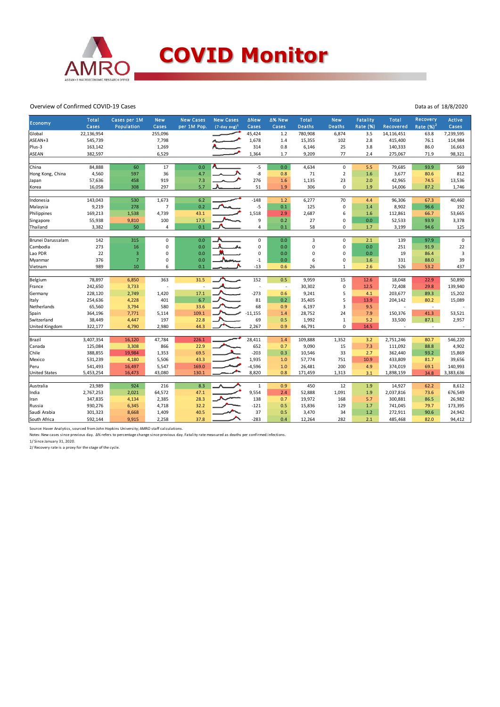

#### Overview of Confirmed COVID-19 Cases

| Economy              | <b>Total</b><br>Cases | Cases per 1M<br>Population | <b>New</b><br>Cases | <b>New Cases</b><br>per 1M Pop. | <b>New Cases</b><br>$(7$ -day avg) <sup>1</sup> | <b>ANew</b><br>Cases | ∆% New<br>Cases          | Total<br><b>Deaths</b> | <b>New</b><br><b>Deaths</b> | <b>Fatality</b><br>Rate (%) | <b>Total</b><br>Recovered | Recovery<br>Rate $(%)2$ | <b>Active</b><br>Cases |
|----------------------|-----------------------|----------------------------|---------------------|---------------------------------|-------------------------------------------------|----------------------|--------------------------|------------------------|-----------------------------|-----------------------------|---------------------------|-------------------------|------------------------|
| Global               | 22,136,954            |                            | 255,096             |                                 |                                                 | 45,424               | 1.2                      | 780,908                | 6,874                       | 3.5                         | 14,116,451                | 63.8                    | 7,239,595              |
| ASEAN+3              | 545,739               |                            | 7,798               |                                 |                                                 | 1,678                | 1.4                      | 15,355                 | 102                         | 2.8                         | 415,400                   | 76.1                    | 114,984                |
| Plus-3               | 163,142               |                            | 1,269               |                                 |                                                 | 314                  | 0.8                      | 6,146                  | 25                          | 3.8                         | 140,333                   | 86.0                    | 16,663                 |
| <b>ASEAN</b>         | 382,597               |                            | 6,529               |                                 |                                                 | 1,364                | 1.7                      | 9,209                  | 77                          | 2.4                         | 275,067                   | 71.9                    | 98,321                 |
|                      |                       |                            |                     |                                 |                                                 |                      |                          |                        |                             |                             |                           |                         |                        |
| China                | 84,888                | 60                         | 17                  | 0.0                             |                                                 | $-5$                 | 0.0                      | 4,634                  | 0                           | 5.5                         | 79,685                    | 93.9                    | 569                    |
| Hong Kong, China     | 4,560                 | 597                        | 36                  | 4.7                             |                                                 | -8                   | 0.8                      | 71                     | $\mathbf 2$                 | 1.6                         | 3,677                     | 80.6                    | 812                    |
| Japan                | 57,636                | 458                        | 919                 | 7.3                             |                                                 | 276                  | 1.6                      | 1,135                  | 23                          | 2.0                         | 42,965                    | 74.5                    | 13,536                 |
| Korea                | 16,058                | 308                        | 297                 | 5.7                             |                                                 | 51                   | 1.9                      | 306                    | $\mathbf 0$                 | 1.9                         | 14,006                    | 87.2                    | 1,746                  |
| Indonesia            | 143,043               | 530                        | 1,673               | 6.2                             |                                                 | $-148$               | 1.2                      | 6,277                  | 70                          | 4.4                         | 96,306                    | 67.3                    | 40,460                 |
| Malaysia             | 9,219                 | 278                        | $\overline{7}$      | 0.2                             |                                                 | $-5$                 | 0.1                      | 125                    | $\pmb{0}$                   | 1.4                         | 8,902                     | 96.6                    | 192                    |
| Philippines          | 169,213               | 1,538                      | 4,739               | 43.1                            |                                                 | 1,518                | 2.9                      | 2,687                  | 6                           | 1.6                         | 112,861                   | 66.7                    | 53,665                 |
| Singapore            | 55,938                | 9,810                      | 100                 | 17.5                            |                                                 | 9                    | 0.2                      | 27                     | 0                           | 0.0                         | 52,533                    | 93.9                    | 3,378                  |
| Thailand             | 3,382                 | 50                         | 4                   | 0.1                             |                                                 | $\overline{4}$       | 0.1                      | 58                     | 0                           | 1.7                         | 3,199                     | 94.6                    | 125                    |
|                      |                       |                            |                     |                                 |                                                 |                      |                          |                        |                             |                             |                           |                         |                        |
| Brunei Darussalam    | 142                   | 315                        | 0                   | 0.0                             |                                                 | $\mathbf 0$          | 0.0                      | $\overline{3}$         | $\mathbf 0$                 | 2.1                         | 139                       | 97.9                    | $\mathbf 0$            |
| Cambodia             | 273                   | 16                         | 0                   | 0.0                             |                                                 | $\mathbf 0$          | 0.0                      | $\pmb{0}$              | 0                           | 0.0                         | 251                       | 91.9                    | 22                     |
| Lao PDR              | 22                    | 3                          | 0                   | 0.0                             |                                                 | $\mathbf 0$          | 0.0                      | 0                      | 0                           | 0.0                         | 19                        | 86.4                    | $\mathbf{3}$           |
| Myanmar              | 376                   | $\overline{7}$             | 0                   | 0.0                             |                                                 | $^{\circ}1$          | 0.0                      | 6                      | $\mathsf 0$                 | 1.6                         | 331                       | 88.0                    | 39                     |
| Vietnam              | 989                   | 10                         | 6                   | 0.1                             |                                                 | $-13$                | 0.6                      | 26                     | 1                           | 2.6                         | 526                       | 53.2                    | 437                    |
|                      |                       |                            |                     |                                 |                                                 |                      |                          |                        |                             |                             |                           |                         |                        |
| Belgium              | 78,897                | 6,850                      | 363                 | 31.5                            |                                                 | 152                  | 0.5                      | 9,959                  | 15                          | 12.6                        | 18,048                    | 22.9                    | 50,890                 |
| France               | 242,650               | 3,733                      |                     |                                 |                                                 | ä,                   | $\overline{\phantom{a}}$ | 30,302                 | $\mathsf 0$                 | 12.5                        | 72,408                    | 29.8                    | 139,940                |
| Germany              | 228,120               | 2,749                      | 1,420               | 17.1                            |                                                 | $-273$               | 0.6                      | 9,241                  | 5                           | 4.1                         | 203,677                   | 89.3                    | 15,202                 |
| Italy                | 254,636               | 4,228                      | 401                 | 6.7                             |                                                 | 81                   | 0.2                      | 35,405                 | 5                           | 13.9                        | 204,142                   | 80.2                    | 15,089                 |
| Netherlands          | 65,560                | 3,794                      | 580                 | 33.6                            |                                                 | 68                   | 0.9                      | 6,197                  | 3                           | 9.5                         |                           | ×                       |                        |
| Spain                | 364,196               | 7,771                      | 5,114               | 109.1                           |                                                 | $-11,155$            | 1.4                      | 28,752                 | 24                          | 7.9                         | 150,376                   | 41.3                    | 53,521                 |
| Switzerland          | 38,449                | 4,447                      | 197                 | 22.8                            |                                                 | 69                   | 0.5                      | 1,992                  | $\mathbf 1$                 | 5.2                         | 33,500                    | 87.1                    | 2,957                  |
| United Kingdom       | 322,177               | 4,790                      | 2,980               | 44.3                            |                                                 | 2,267                | 0.9                      | 46,791                 | $\mathbf{0}$                | 14.5                        | ×                         | ×                       |                        |
| Brazil               | 3,407,354             | 16,120                     | 47,784              | 226.1                           |                                                 | 28,411               | 1.4                      | 109,888                | 1,352                       | 3.2                         | 2,751,246                 | 80.7                    | 546,220                |
| Canada               | 125,084               | 3,308                      | 866                 | 22.9                            |                                                 | 652                  | 0.7                      | 9,090                  | 15                          | 7.3                         | 111,092                   | 88.8                    | 4,902                  |
| Chile                | 388,855               | 19,984                     | 1,353               | 69.5                            |                                                 | $-203$               | 0.3                      | 10,546                 | 33                          | 2.7                         | 362,440                   | 93.2                    | 15,869                 |
| Mexico               | 531,239               | 4,180                      | 5,506               | 43.3                            |                                                 | 1,935                | 1.0                      | 57,774                 | 751                         | 10.9                        | 433,809                   | 81.7                    | 39,656                 |
| Peru                 | 541,493               | 16,497                     | 5,547               | 169.0                           |                                                 | $-4,596$             | 1.0                      | 26,481                 | 200                         | 4.9                         | 374,019                   | 69.1                    | 140,993                |
| <b>United States</b> | 5,453,254             | 16,473                     | 43,080              | 130.1                           |                                                 | 8,820                | 0.8                      | 171,459                | 1,313                       | 3.1                         | 1,898,159                 | 34.8                    | 3,383,636              |
|                      |                       |                            |                     |                                 |                                                 |                      |                          |                        |                             |                             |                           |                         |                        |
| Australia            | 23,989                | 924                        | 216                 | 8.3                             |                                                 | $\mathbf{1}$         | 0.9                      | 450                    | 12                          | 1.9                         | 14,927                    | 62.2                    | 8,612                  |
| India                | 2,767,253             | 2,021                      | 64,572              | 47.1                            |                                                 | 9,554                | 2.4                      | 52,888                 | 1,091                       | 1.9                         | 2,037,816                 | 73.6                    | 676,549                |
| Iran                 | 347,835               | 4,134                      | 2,385               | 28.3                            |                                                 | 138                  | 0.7                      | 19,972                 | 168                         | 5.7                         | 300,881                   | 86.5                    | 26,982                 |
| Russia               | 930,276               | 6,345                      | 4,718               | 32.2                            |                                                 | $-121$               | 0.5                      | 15,836                 | 129                         | 1.7                         | 741,045                   | 79.7                    | 173,395                |
| Saudi Arabia         | 301,323               | 8,668                      | 1,409               | 40.5                            |                                                 | 37                   | 0.5                      | 3,470                  | 34                          | 1.2                         | 272,911                   | 90.6                    | 24,942                 |
| South Africa         | 592,144               | 9,915                      | 2,258               | 37.8                            |                                                 | $-283$               | 0.4                      | 12,264                 | 282                         | 2.1                         | 485,468                   | 82.0                    | 94,412                 |

Source: Haver Analytics, sourced from John Hopkins University; AMRO staff calculations.

Notes: New cases since previous day. Δ% refers to percentage change since previous day. Fatality rate measured as deaths per confirmed infections.

1/ Since January 31, 2020. 2/ Recovery rate is a proxy for the stage of the cycle.

#### Data as of 18/8/2020